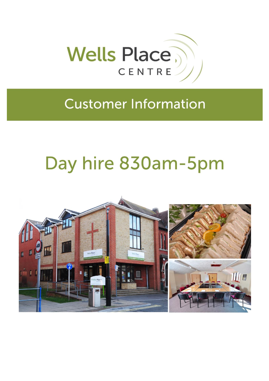

## **Customer Information**

# Day hire 830am-5pm

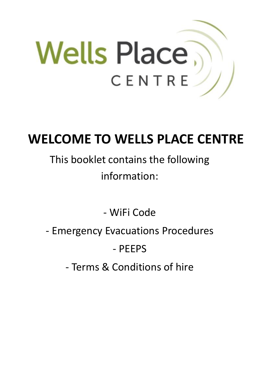

## **WELCOME TO WELLS PLACE CENTRE**

## This booklet contains the following information:

- WiFi Code

- Emergency Evacuations Procedures

- PEEPS

- Terms & Conditions of hire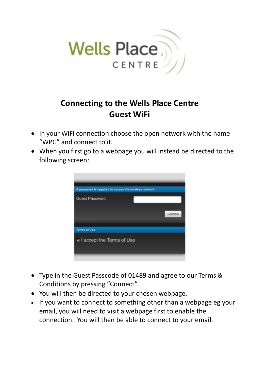

### **Connecting to the Wells Place Centre Guest WiFi**

- In your WiFi connection choose the open network with the name "WPC" and connect to it.
- When you first go to a webpage you will instead be directed to the following screen:



- Type in the Guest Passcode of 01489 and agree to our Terms & Conditions by pressing "Connect".
- You will then be directed to your chosen webpage.
- If you want to connect to something other than a webpage eg your email, you will need to visit a webpage first to enable the connection. You will then be able to connect to your email.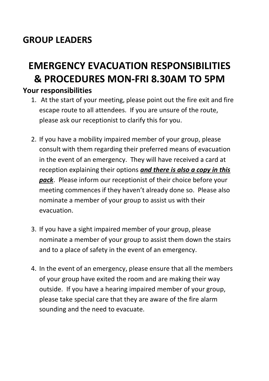## **GROUP LEADERS**

## **EMERGENCY EVACUATION RESPONSIBILITIES & PROCEDURES MON-FRI 8.30AM TO 5PM**

### **Your responsibilities**

- 1. At the start of your meeting, please point out the fire exit and fire escape route to all attendees. If you are unsure of the route, please ask our receptionist to clarify this for you.
- 2. If you have a mobility impaired member of your group, please consult with them regarding their preferred means of evacuation in the event of an emergency. They will have received a card at reception explaining their options *and there is also a copy in this pack*. Please inform our receptionist of their choice before your meeting commences if they haven't already done so. Please also nominate a member of your group to assist us with their evacuation.
- 3. If you have a sight impaired member of your group, please nominate a member of your group to assist them down the stairs and to a place of safety in the event of an emergency.
- 4. In the event of an emergency, please ensure that all the members of your group have exited the room and are making their way outside. If you have a hearing impaired member of your group, please take special care that they are aware of the fire alarm sounding and the need to evacuate.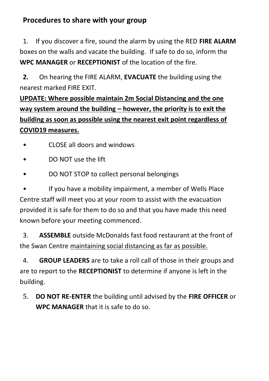### **Procedures to share with your group**

1. If you discover a fire, sound the alarm by using the RED **FIRE ALARM** boxes on the walls and vacate the building. If safe to do so, inform the **WPC MANAGER** or **RECEPTIONIST** of the location of the fire.

**2.** On hearing the FIRE ALARM, **EVACUATE** the building using the nearest marked FIRE EXIT.

**UPDATE: Where possible maintain 2m Social Distancing and the one way system around the building – however, the priority is to exit the building as soon as possible using the nearest exit point regardless of COVID19 measures.**

- CLOSE all doors and windows
- DO NOT use the lift
- DO NOT STOP to collect personal belongings

If you have a mobility impairment, a member of Wells Place Centre staff will meet you at your room to assist with the evacuation provided it is safe for them to do so and that you have made this need known before your meeting commenced.

3. **ASSEMBLE** outside McDonalds fast food restaurant at the front of the Swan Centre maintaining social distancing as far as possible.

4. **GROUP LEADERS** are to take a roll call of those in their groups and are to report to the **RECEPTIONIST** to determine if anyone is left in the building.

5. **DO NOT RE-ENTER** the building until advised by the **FIRE OFFICER** or **WPC MANAGER** that it is safe to do so.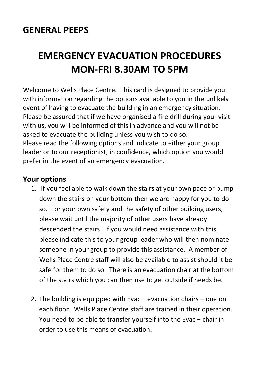### **GENERAL PEEPS**

## **EMERGENCY EVACUATION PROCEDURES MON-FRI 8.30AM TO 5PM**

Welcome to Wells Place Centre. This card is designed to provide you with information regarding the options available to you in the unlikely event of having to evacuate the building in an emergency situation. Please be assured that if we have organised a fire drill during your visit with us, you will be informed of this in advance and you will not be asked to evacuate the building unless you wish to do so. Please read the following options and indicate to either your group leader or to our receptionist, in confidence, which option you would prefer in the event of an emergency evacuation.

### **Your options**

- 1. If you feel able to walk down the stairs at your own pace or bump down the stairs on your bottom then we are happy for you to do so. For your own safety and the safety of other building users, please wait until the majority of other users have already descended the stairs. If you would need assistance with this, please indicate this to your group leader who will then nominate someone in your group to provide this assistance. A member of Wells Place Centre staff will also be available to assist should it be safe for them to do so. There is an evacuation chair at the bottom of the stairs which you can then use to get outside if needs be.
- 2. The building is equipped with Evac + evacuation chairs one on each floor. Wells Place Centre staff are trained in their operation. You need to be able to transfer yourself into the Evac + chair in order to use this means of evacuation.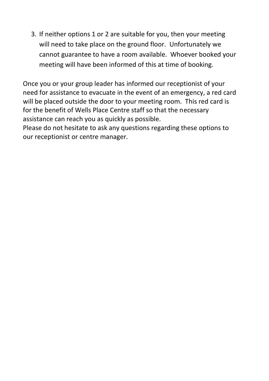3. If neither options 1 or 2 are suitable for you, then your meeting will need to take place on the ground floor. Unfortunately we cannot guarantee to have a room available. Whoever booked your meeting will have been informed of this at time of booking.

Once you or your group leader has informed our receptionist of your need for assistance to evacuate in the event of an emergency, a red card will be placed outside the door to your meeting room. This red card is for the benefit of Wells Place Centre staff so that the necessary assistance can reach you as quickly as possible.

Please do not hesitate to ask any questions regarding these options to our receptionist or centre manager.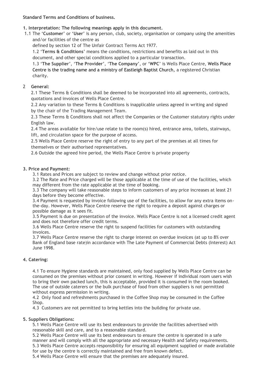#### **Standard Terms and Conditions of business.**

#### **1. Interpretation: The following meanings apply in this document.**

1.1 The '**Customer**' or '**User**' is any person, club, society, organisation or company using the amenities and/or facilities of the centre as

defined by section 12 of The Unfair Contract Terms Act 1977.

1.2 '**Terms & Conditions**' means the conditions, restrictions and benefits as laid out in this document, and other special conditions applied to a particular transaction.

1.3 '**The Supplier**', '**The Provider**', '**The Company**', or '**WPC**' is Wells Place Centre, Wells Place Centre is the trading name and a ministry of Eastleigh Baptist Church, a registered Christian charity.

#### 2 **General:**

2.1 These Terms & Conditions shall be deemed to be incorporated into all agreements, contracts, quotations and invoices of Wells Place Centre.

2.2 Any variation to these Terms & Conditions is inapplicable unless agreed in writing and signed by the chair of the Trading Management Team.

2.3 These Terms & Conditions shall not affect the Companies or the Customer statutory rights under English law.

2.4 The areas available for hire/use relate to the room(s) hired, entrance area, toilets, stairways, lift, and circulation space for the purpose of access.

2.5 Wells Place Centre reserve the right of entry to any part of the premises at all times for themselves or their authorised representatives.

2.6 Outside the agreed hire period, the Wells Place Centre is private property

#### **3. Price and Payment:**

3.1 Rates and Prices are subject to review and change without prior notice.

3.2 The Rate and Price charged will be those applicable at the time of use of the facilities, which may different from the rate applicable at the time of booking.

3.3 The company will take reasonable steps to inform customers of any price increases at least 21 days before they become effective.

3.4 Payment is requested by invoice following use of the facilities, to allow for any extra items onthe-day. However, Wells Place Centre reserve the right to require a deposit against charges or possible damage as it sees fit.

3.5 Payment is due on presentation of the invoice. Wells Place Centre is not a licensed credit agent and does not therefore offer credit terms.

3.6 Wells Place Centre reserve the right to suspend facilities for customers with outstanding invoices.

3.7 Wells Place Centre reserve the right to charge interest on overdue invoices (at up to 8% over Bank of England base rate)in accordance with The Late Payment of Commercial Debts (Interest) Act June 1998.

#### **4. Catering:**

4.1 To ensure Hygiene standards are maintained, only food supplied by Wells Place Centre can be consumed on the premises without prior consent in writing. However if individual room users wish to bring their own packed lunch, this is acceptable, provided it is consumed in the room booked. The use of outside caterers or the bulk purchase of food from other suppliers is not permitted without express permission in writing.

4.2 Only food and refreshments purchased in the Coffee Shop may be consumed in the Coffee Shop.

4.3 Customers are not permitted to bring kettles into the building for private use.

#### **5. Suppliers Obligations:**

5.1 Wells Place Centre will use its best endeavours to provide the facilities advertised with reasonable skill and care, and to a reasonable standard.

5.2 Wells Place Centre will use its best endeavours to ensure the centre is operated in a safe manner and will comply with all the appropriate and necessary Health and Safety requirements. 5.3 Wells Place Centre accepts responsibility for ensuring all equipment supplied or made available for use by the centre is correctly maintained and free from known defect.

5.4 Wells Place Centre will ensure that the premises are adequately insured.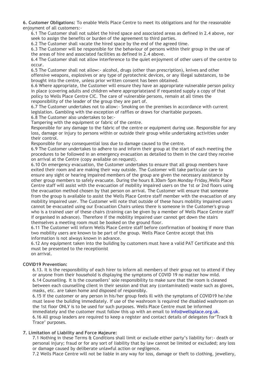**6. Customer Obligations:** To enable Wells Place Centre to meet its obligations and for the reasonable enjoyment of all customers:-

6.1 The Customer shall not sublet the hired space and associated areas as defined in 2.4 above, nor seek to assign the benefits or burden of the agreement to third parties.

6.2 The Customer shall vacate the hired space by the end of the agreed time.

6.3 The Customer will be responsible for the behaviour of persons within their group in the use of the areas of hire and associated facilities as defined in 2.4 above.

6.4 The Customer shall not allow interference to the quiet enjoyment of other users of the centre to occur.

6.5 The Customer shall not allow:- alcohol, drugs (other than prescription), knives and other offensive weapons, explosives or any type of pyrotechnic devices, or any illegal substances, to be brought into the centre, unless prior written consent has been obtained.

6.6 Where appropriate, the Customer will ensure they have an appropriate vulnerable person policy in place (covering adults and children where appropriate)and if requested supply a copy of that policy to Wells Place Centre CIC. The care of vulnerable persons, remain at all times the responsibility of the leader of the group they are part of.

6.7 The Customer undertakes not to allow:- Smoking on the premises in accordance with current legislation. Gambling with the exception of raffles or draws for charitable purposes.

6.8 The Customer also undertakes to be:-

Tampering with the equipment or fabric of the centre.

Responsible for any damage to the fabric of the centre or equipment during use. Responsible for any loss, damage or injury to persons within or outside their group while undertaking activities under their control.

Responsible for any consequential loss due to damage caused to the centre.

6.9 The Customer undertakes to adhere to and inform their group at the start of each meeting the procedures to be followed in an emergency evacuation as detailed to them in the card they receive on arrival at the Centre (copy available on request).

6.10 On emergency evacuation, the Customer undertakes to ensure that all group members have exited their room and are making their way outside. The Customer will take particular care to ensure any sight or hearing impaired members of the group are given the necessary assistance by other group members to safely evacuate. During the hours 8.30am–5pm Monday–Friday,Wells Place Centre staff will assist with the evacuation of mobility impaired users on the 1st or 2nd floors using the evacuation method chosen by that person on arrival. The Customer will ensure that someone from the group is available to assist the Wells Place Centre staff member with the evacuation of any mobility impaired user. The Customer will note that outside of these hours mobility impaired users cannot be evacuated using our Evacuation Chairs unless there is someone in the Customer's group who is a trained user of these chairs (training can be given by a member of Wells Place Centre staff if organised in advance). Therefore if the mobility impaired user cannot get down the stairs themselves a meeting room must be booked on the ground floor.

6.11 The Customer will inform Wells Place Centre staff before confirmation of booking if more than two mobility users are known to be part of the group. Wells Place Centre accept that this information is not always known in advance.

6.12 Any equipment taken into the building by customers must have a valid PAT Certificate and this must be presented to the receptionist on arrival.

#### **COVID19 Prevention:**

6.13. It is the responsibility of each hirer to inform all members of their group not to attend if they or anyone from their household is displaying the symptoms of COVID 19 no matter how mild. 6.14 Counselling. It is the counsellers' sole responsibility to make sure that the room is cleaned between each counselling client in their session and that any (contaminated) waste such as gloves, masks, etc. are taken home and disposed of responsibly.

6.15 If the customer or any person in his/her group feels ill with the symptoms of COVID19 he/she must leave the building immediately. If use of the washroom is required the disabled washroom on the 1st floor ONLY is to be used for such purposes. Wells Place Centre must be informed immediately and the customer must follow this up with an email to info@wellsplace.org.uk.

6.16 All group leaders are required to keep a register and contact details of delegates for'Track & Trace' purposes.

#### **7. Limitation of Liability and Force Majeure:**

7.1 Nothing in these Terms & Conditions shall limit or exclude either party's liability for:- death or personal injury; fraud or for any sort of liability that by law cannot be limited or excluded; any loss or damage caused by deliberate unlawful action or negligence.

7.2 Wells Place Centre will not be liable in any way for loss, damage or theft to clothing, jewellery,